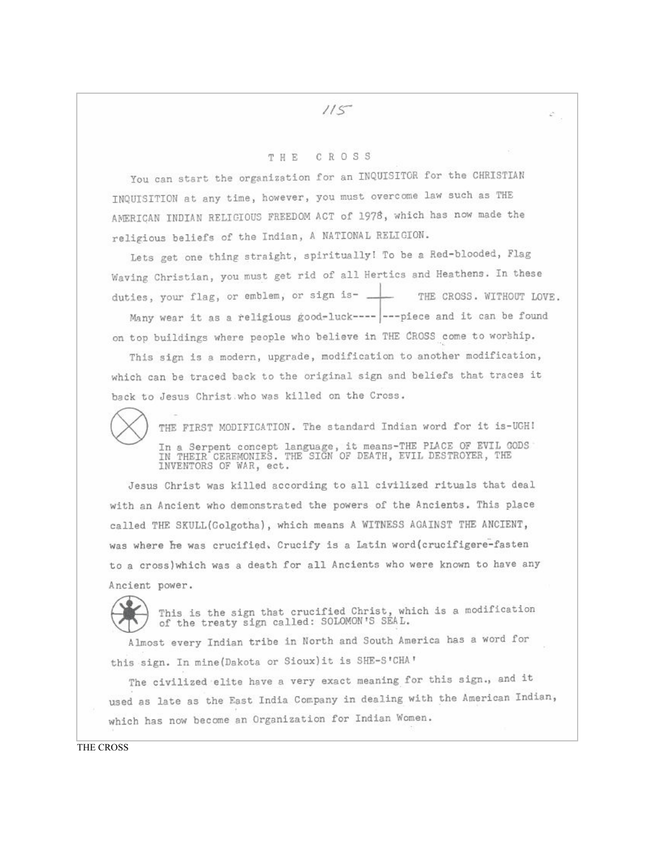## CROSS THE

You can start the organization for an INQUISITOR for the CHRISTIAN INQUISITION at any time, however, you must overcome law such as THE AMERICAN INDIAN RELIGIOUS FREEDOM ACT of 1976, which has now made the religious beliefs of the Indian, A NATIONAL RELIGION.

Lets get one thing straight, spiritually! To be a Red-blooded, Flag Waving Christian, you must get rid of all Hertics and Heathens. In these duties, your flag, or emblem, or sign is-THE CROSS. WITHOUT LOVE.

Many wear it as a religious good-luck---- --- piece and it can be found on top buildings where people who believe in THE CROSS come to worship.

This sign is a modern, upgrade, modification to another modification, which can be traced back to the original sign and beliefs that traces it back to Jesus Christ who was killed on the Cross.



THE FIRST MODIFICATION. The standard Indian word for it is-UGH! In a Serpent concept language, it means-THE PLACE OF EVIL GODS IN THEIR CEREMONIES. THE SIGN OF DEATH, EVIL DESTROYER, THE INVENTORS OF WAR, ect.

Jesus Christ was killed according to all civilized rituals that deal with an Ancient who demonstrated the powers of the Ancients. This place called THE SKULL(Golgotha), which means A WITNESS AGAINST THE ANCIENT, was where he was crucified, Crucify is a Latin word (crucifigere-fasten to a cross) which was a death for all Ancients who were known to have any Ancient power.



This is the sign that crucified Christ, which is a modification of the treaty sign called: SOLOMON'S SÉAL.

Almost every Indian tribe in North and South America has a word for this sign. In mine (Dakota or Sioux) it is SHE-S'CHA'

The civilized elite have a very exact meaning for this sign., and it used as late as the East India Company in dealing with the American Indian, which has now become an Organization for Indian Women.

THE CROSS